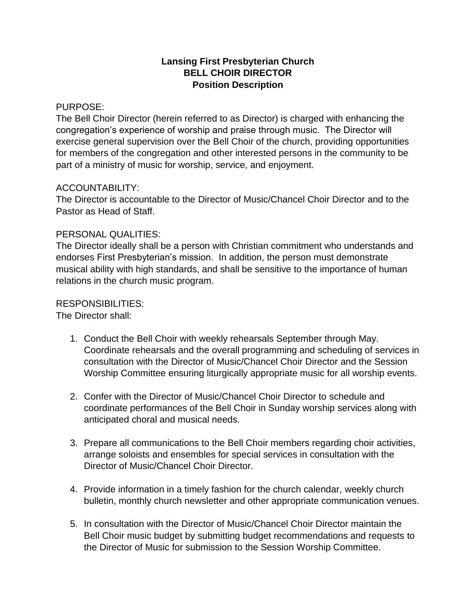## **Lansing First Presbyterian Church BELL CHOIR DIRECTOR Position Description**

#### PURPOSE:

The Bell Choir Director (herein referred to as Director) is charged with enhancing the congregation's experience of worship and praise through music. The Director will exercise general supervision over the Bell Choir of the church, providing opportunities for members of the congregation and other interested persons in the community to be part of a ministry of music for worship, service, and enjoyment.

## ACCOUNTABILITY:

The Director is accountable to the Director of Music/Chancel Choir Director and to the Pastor as Head of Staff.

## PERSONAL QUALITIES:

The Director ideally shall be a person with Christian commitment who understands and endorses First Presbyterian's mission. In addition, the person must demonstrate musical ability with high standards, and shall be sensitive to the importance of human relations in the church music program.

# RESPONSIBILITIES:

The Director shall:

- 1. Conduct the Bell Choir with weekly rehearsals September through May. Coordinate rehearsals and the overall programming and scheduling of services in consultation with the Director of Music/Chancel Choir Director and the Session Worship Committee ensuring liturgically appropriate music for all worship events.
- 2. Confer with the Director of Music/Chancel Choir Director to schedule and coordinate performances of the Bell Choir in Sunday worship services along with anticipated choral and musical needs.
- 3. Prepare all communications to the Bell Choir members regarding choir activities, arrange soloists and ensembles for special services in consultation with the Director of Music/Chancel Choir Director.
- 4. Provide information in a timely fashion for the church calendar, weekly church bulletin, monthly church newsletter and other appropriate communication venues.
- 5. In consultation with the Director of Music/Chancel Choir Director maintain the Bell Choir music budget by submitting budget recommendations and requests to the Director of Music for submission to the Session Worship Committee.